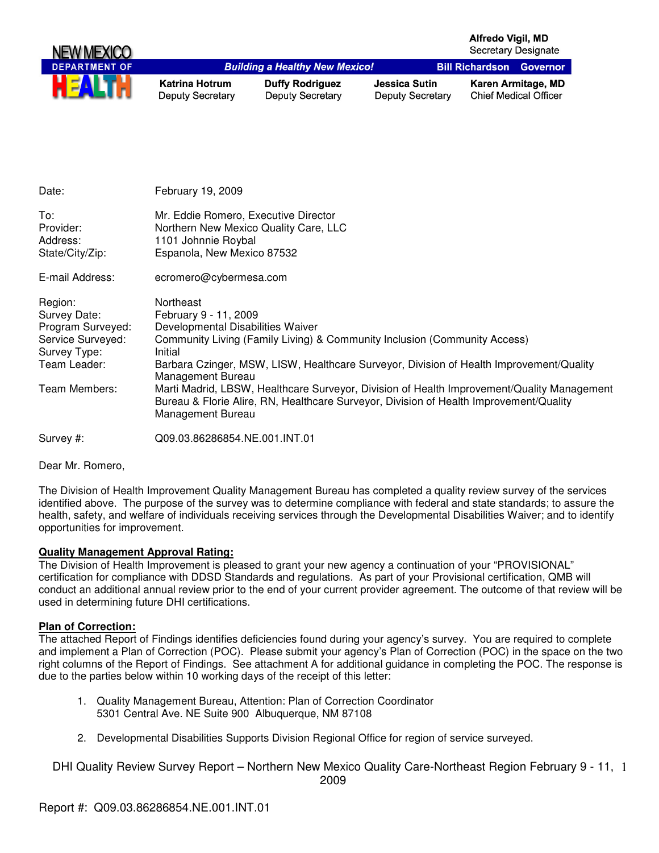| <b>NEW MEXICO</b>    |                                           |                                                   |                                          | Alfredo Vigil, MD<br><b>Secretary Designate</b> |                                                    |
|----------------------|-------------------------------------------|---------------------------------------------------|------------------------------------------|-------------------------------------------------|----------------------------------------------------|
| <b>DEPARTMENT OF</b> |                                           | <b>Building a Healthy New Mexico!</b>             |                                          | <b>Bill Richardson Governor</b>                 |                                                    |
| <b>HEALTH</b>        | Katrina Hotrum<br><b>Deputy Secretary</b> | <b>Duffy Rodriguez</b><br><b>Deputy Secretary</b> | Jessica Sutin<br><b>Deputy Secretary</b> |                                                 | Karen Armitage, MD<br><b>Chief Medical Officer</b> |

| Date:                                                                                                              | February 19, 2009                                                                                                                                                                                                                                                                                                                                                                                                                                                                            |
|--------------------------------------------------------------------------------------------------------------------|----------------------------------------------------------------------------------------------------------------------------------------------------------------------------------------------------------------------------------------------------------------------------------------------------------------------------------------------------------------------------------------------------------------------------------------------------------------------------------------------|
| To:<br>Provider:<br>Address:<br>State/City/Zip:                                                                    | Mr. Eddie Romero, Executive Director<br>Northern New Mexico Quality Care, LLC<br>1101 Johnnie Roybal<br>Espanola, New Mexico 87532                                                                                                                                                                                                                                                                                                                                                           |
| E-mail Address:                                                                                                    | ecromero@cybermesa.com                                                                                                                                                                                                                                                                                                                                                                                                                                                                       |
| Region:<br>Survey Date:<br>Program Surveyed:<br>Service Surveyed:<br>Survey Type:<br>Team Leader:<br>Team Members: | Northeast<br>February 9 - 11, 2009<br>Developmental Disabilities Waiver<br>Community Living (Family Living) & Community Inclusion (Community Access)<br>Initial<br>Barbara Czinger, MSW, LISW, Healthcare Surveyor, Division of Health Improvement/Quality<br>Management Bureau<br>Marti Madrid, LBSW, Healthcare Surveyor, Division of Health Improvement/Quality Management<br>Bureau & Florie Alire, RN, Healthcare Surveyor, Division of Health Improvement/Quality<br>Management Bureau |
| Survey #:                                                                                                          | Q09.03.86286854.NE.001.INT.01                                                                                                                                                                                                                                                                                                                                                                                                                                                                |

Dear Mr. Romero,

The Division of Health Improvement Quality Management Bureau has completed a quality review survey of the services identified above. The purpose of the survey was to determine compliance with federal and state standards; to assure the health, safety, and welfare of individuals receiving services through the Developmental Disabilities Waiver; and to identify opportunities for improvement.

## **Quality Management Approval Rating:**

The Division of Health Improvement is pleased to grant your new agency a continuation of your "PROVISIONAL" certification for compliance with DDSD Standards and regulations. As part of your Provisional certification, QMB will conduct an additional annual review prior to the end of your current provider agreement. The outcome of that review will be used in determining future DHI certifications.

#### **Plan of Correction:**

The attached Report of Findings identifies deficiencies found during your agency's survey. You are required to complete and implement a Plan of Correction (POC). Please submit your agency's Plan of Correction (POC) in the space on the two right columns of the Report of Findings. See attachment A for additional guidance in completing the POC. The response is due to the parties below within 10 working days of the receipt of this letter:

- 1. Quality Management Bureau, Attention: Plan of Correction Coordinator 5301 Central Ave. NE Suite 900 Albuquerque, NM 87108
- 2. Developmental Disabilities Supports Division Regional Office for region of service surveyed.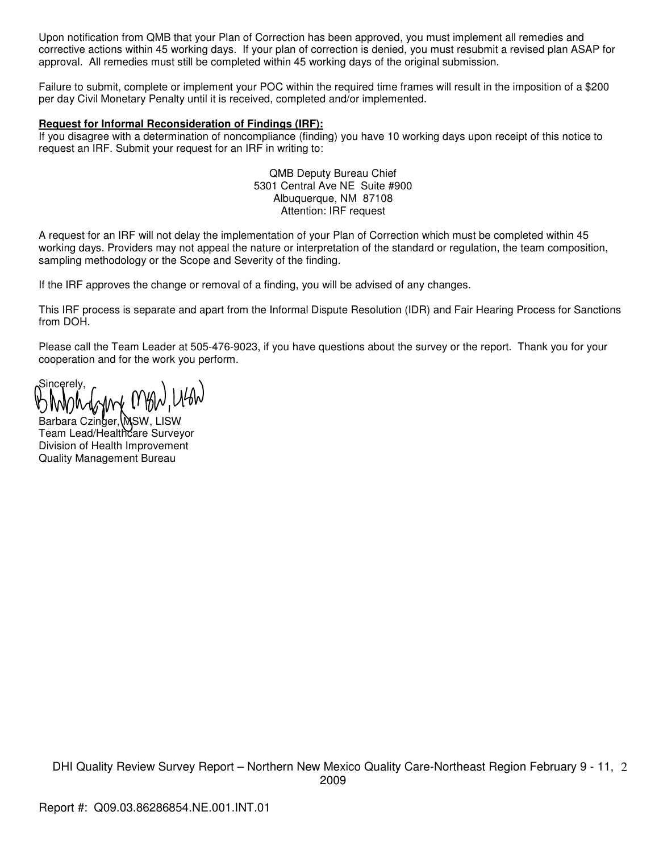Upon notification from QMB that your Plan of Correction has been approved, you must implement all remedies and corrective actions within 45 working days. If your plan of correction is denied, you must resubmit a revised plan ASAP for approval. All remedies must still be completed within 45 working days of the original submission.

Failure to submit, complete or implement your POC within the required time frames will result in the imposition of a \$200 per day Civil Monetary Penalty until it is received, completed and/or implemented.

#### **Request for Informal Reconsideration of Findings (IRF):**

If you disagree with a determination of noncompliance (finding) you have 10 working days upon receipt of this notice to request an IRF. Submit your request for an IRF in writing to:

> QMB Deputy Bureau Chief 5301 Central Ave NE Suite #900 Albuquerque, NM 87108 Attention: IRF request

A request for an IRF will not delay the implementation of your Plan of Correction which must be completed within 45 working days. Providers may not appeal the nature or interpretation of the standard or regulation, the team composition, sampling methodology or the Scope and Severity of the finding.

If the IRF approves the change or removal of a finding, you will be advised of any changes.

This IRF process is separate and apart from the Informal Dispute Resolution (IDR) and Fair Hearing Process for Sanctions from DOH.

Please call the Team Leader at 505-476-9023, if you have questions about the survey or the report. Thank you for your cooperation and for the work you perform.

Sincerely,

Barbara Czinger, MSW, LISW Team Lead/Healthcare Surveyor Division of Health Improvement Quality Management Bureau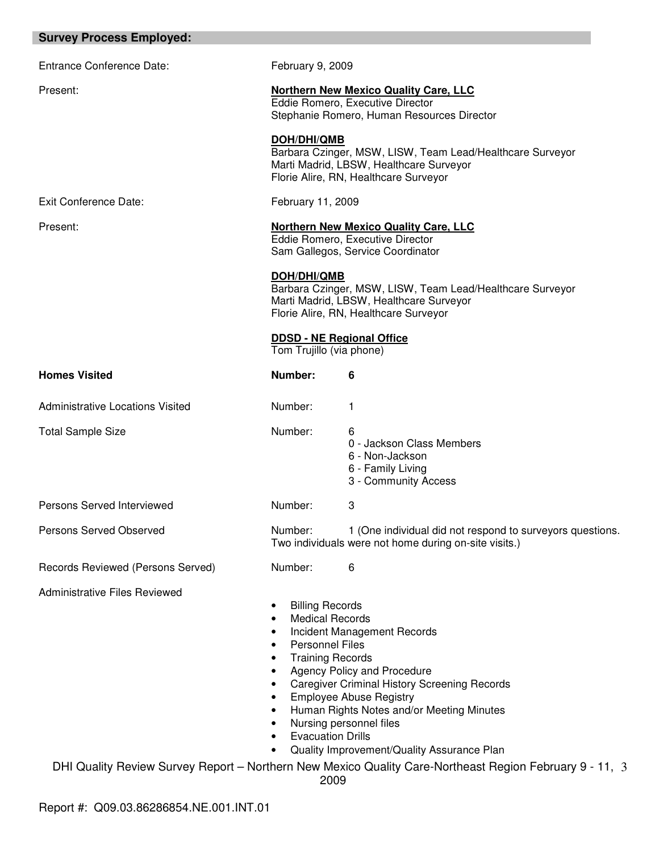| <b>Survey Process Employed:</b>         |                                                                                                                                                                                                                                           |                                                                                                                                                                                                                                                                                                                                                                                      |  |
|-----------------------------------------|-------------------------------------------------------------------------------------------------------------------------------------------------------------------------------------------------------------------------------------------|--------------------------------------------------------------------------------------------------------------------------------------------------------------------------------------------------------------------------------------------------------------------------------------------------------------------------------------------------------------------------------------|--|
| <b>Entrance Conference Date:</b>        | February 9, 2009                                                                                                                                                                                                                          |                                                                                                                                                                                                                                                                                                                                                                                      |  |
| Present:                                |                                                                                                                                                                                                                                           | <b>Northern New Mexico Quality Care, LLC</b><br>Eddie Romero, Executive Director<br>Stephanie Romero, Human Resources Director                                                                                                                                                                                                                                                       |  |
|                                         | DOH/DHI/QMB                                                                                                                                                                                                                               | Barbara Czinger, MSW, LISW, Team Lead/Healthcare Surveyor<br>Marti Madrid, LBSW, Healthcare Surveyor<br>Florie Alire, RN, Healthcare Surveyor                                                                                                                                                                                                                                        |  |
| Exit Conference Date:                   | February 11, 2009                                                                                                                                                                                                                         |                                                                                                                                                                                                                                                                                                                                                                                      |  |
| Present:                                | <b>Northern New Mexico Quality Care, LLC</b><br>Eddie Romero, Executive Director<br>Sam Gallegos, Service Coordinator                                                                                                                     |                                                                                                                                                                                                                                                                                                                                                                                      |  |
|                                         | DOH/DHI/QMB<br>Barbara Czinger, MSW, LISW, Team Lead/Healthcare Surveyor<br>Marti Madrid, LBSW, Healthcare Surveyor<br>Florie Alire, RN, Healthcare Surveyor                                                                              |                                                                                                                                                                                                                                                                                                                                                                                      |  |
|                                         | Tom Trujillo (via phone)                                                                                                                                                                                                                  | <b>DDSD - NE Regional Office</b>                                                                                                                                                                                                                                                                                                                                                     |  |
| <b>Homes Visited</b>                    | Number:                                                                                                                                                                                                                                   | 6                                                                                                                                                                                                                                                                                                                                                                                    |  |
| <b>Administrative Locations Visited</b> | Number:                                                                                                                                                                                                                                   | 1                                                                                                                                                                                                                                                                                                                                                                                    |  |
| <b>Total Sample Size</b>                | Number:                                                                                                                                                                                                                                   | 6<br>0 - Jackson Class Members<br>6 - Non-Jackson<br>6 - Family Living<br>3 - Community Access                                                                                                                                                                                                                                                                                       |  |
| Persons Served Interviewed              | Number:                                                                                                                                                                                                                                   | 3                                                                                                                                                                                                                                                                                                                                                                                    |  |
| Persons Served Observed                 | Number:                                                                                                                                                                                                                                   | 1 (One individual did not respond to surveyors questions.<br>Two individuals were not home during on-site visits.)                                                                                                                                                                                                                                                                   |  |
| Records Reviewed (Persons Served)       | Number:                                                                                                                                                                                                                                   | 6                                                                                                                                                                                                                                                                                                                                                                                    |  |
| <b>Administrative Files Reviewed</b>    | <b>Billing Records</b><br><b>Medical Records</b><br>$\bullet$<br>$\bullet$<br><b>Personnel Files</b><br>$\bullet$<br><b>Training Records</b><br>$\bullet$<br>$\bullet$<br>$\bullet$<br>$\bullet$<br><b>Evacuation Drills</b><br>$\bullet$ | Incident Management Records<br>Agency Policy and Procedure<br><b>Caregiver Criminal History Screening Records</b><br><b>Employee Abuse Registry</b><br>Human Rights Notes and/or Meeting Minutes<br>Nursing personnel files<br>Quality Improvement/Quality Assurance Plan<br>DHI Quality Review Survey Report - Northern New Mexico Quality Care-Northeast Region February 9 - 11, 3 |  |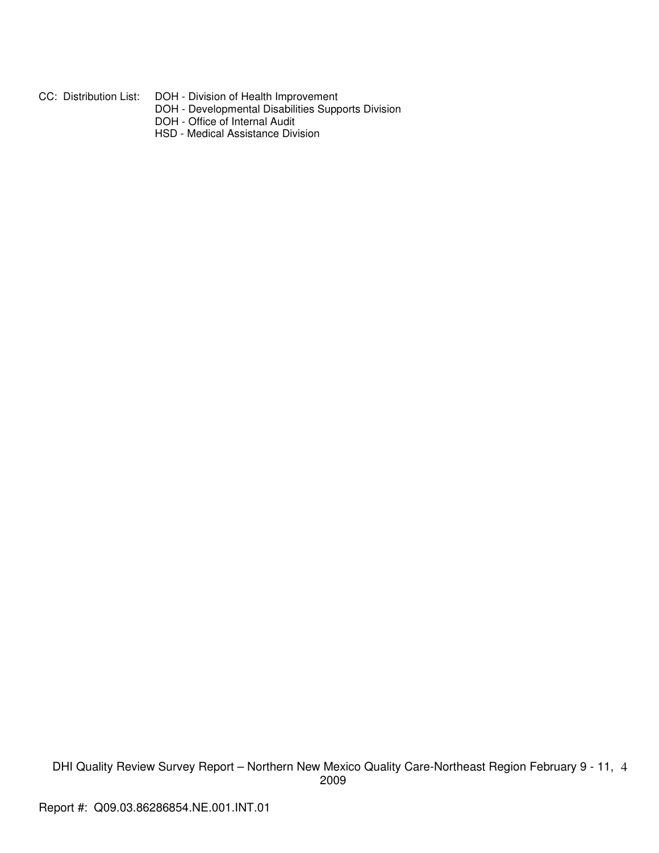CC: Distribution List: DOH - Division of Health Improvement

- DOH Developmental Disabilities Supports Division
- DOH Office of Internal Audit
- HSD Medical Assistance Division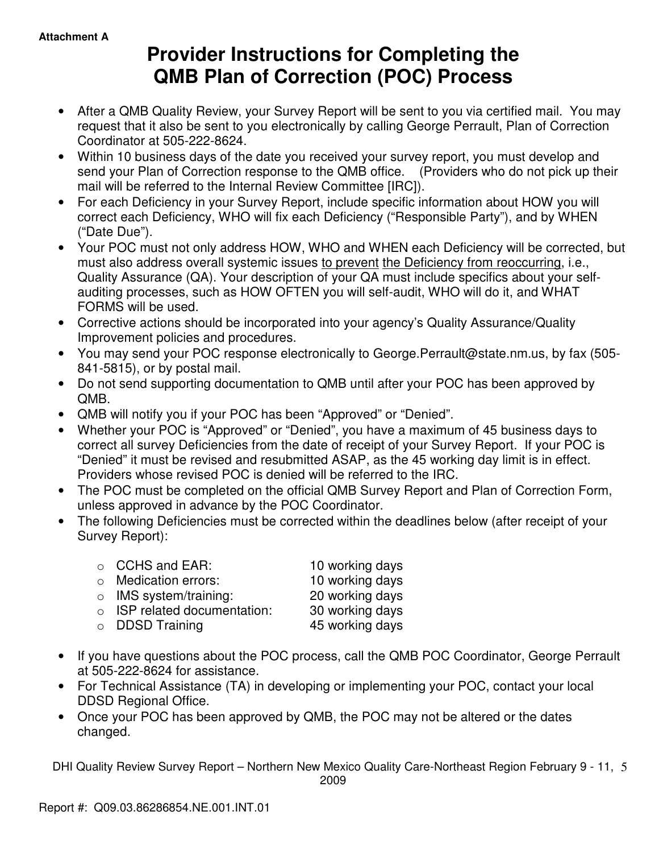# **Provider Instructions for Completing the QMB Plan of Correction (POC) Process**

- After a QMB Quality Review, your Survey Report will be sent to you via certified mail. You may request that it also be sent to you electronically by calling George Perrault, Plan of Correction Coordinator at 505-222-8624.
- Within 10 business days of the date you received your survey report, you must develop and send your Plan of Correction response to the QMB office. (Providers who do not pick up their mail will be referred to the Internal Review Committee [IRC]).
- For each Deficiency in your Survey Report, include specific information about HOW you will correct each Deficiency, WHO will fix each Deficiency ("Responsible Party"), and by WHEN ("Date Due").
- Your POC must not only address HOW, WHO and WHEN each Deficiency will be corrected, but must also address overall systemic issues to prevent the Deficiency from reoccurring, i.e., Quality Assurance (QA). Your description of your QA must include specifics about your selfauditing processes, such as HOW OFTEN you will self-audit, WHO will do it, and WHAT FORMS will be used.
- Corrective actions should be incorporated into your agency's Quality Assurance/Quality Improvement policies and procedures.
- You may send your POC response electronically to George.Perrault@state.nm.us, by fax (505- 841-5815), or by postal mail.
- Do not send supporting documentation to QMB until after your POC has been approved by QMB.
- QMB will notify you if your POC has been "Approved" or "Denied".
- Whether your POC is "Approved" or "Denied", you have a maximum of 45 business days to correct all survey Deficiencies from the date of receipt of your Survey Report. If your POC is "Denied" it must be revised and resubmitted ASAP, as the 45 working day limit is in effect. Providers whose revised POC is denied will be referred to the IRC.
- The POC must be completed on the official QMB Survey Report and Plan of Correction Form, unless approved in advance by the POC Coordinator.
- The following Deficiencies must be corrected within the deadlines below (after receipt of your Survey Report):

| $\circ$ CCHS and EAR:              | 10 working days |
|------------------------------------|-----------------|
| $\circ$ Medication errors:         | 10 working days |
| $\circ$ IMS system/training:       | 20 working days |
| $\circ$ ISP related documentation: | 30 working days |
| $\circ$ DDSD Training              | 45 working days |
|                                    |                 |

- If you have questions about the POC process, call the QMB POC Coordinator, George Perrault at 505-222-8624 for assistance.
- For Technical Assistance (TA) in developing or implementing your POC, contact your local DDSD Regional Office.
- Once your POC has been approved by QMB, the POC may not be altered or the dates changed.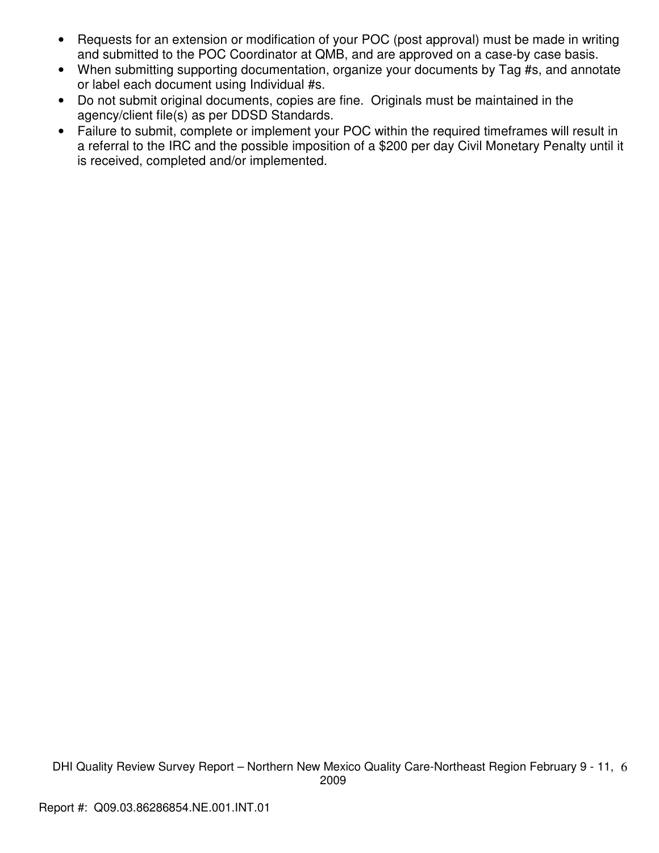- Requests for an extension or modification of your POC (post approval) must be made in writing and submitted to the POC Coordinator at QMB, and are approved on a case-by case basis.
- When submitting supporting documentation, organize your documents by Tag #s, and annotate or label each document using Individual #s.
- Do not submit original documents, copies are fine. Originals must be maintained in the agency/client file(s) as per DDSD Standards.
- Failure to submit, complete or implement your POC within the required timeframes will result in a referral to the IRC and the possible imposition of a \$200 per day Civil Monetary Penalty until it is received, completed and/or implemented.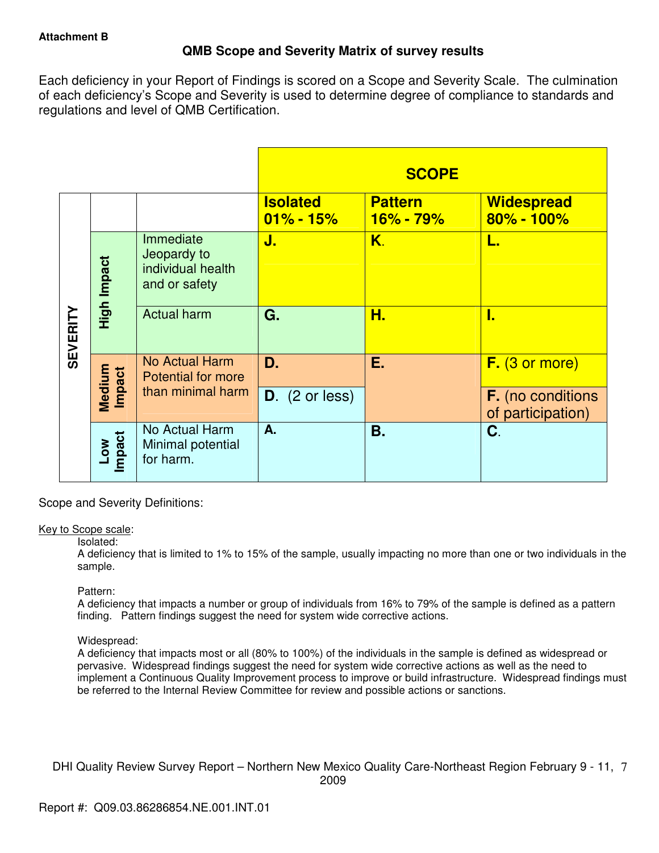## **QMB Scope and Severity Matrix of survey results**

Each deficiency in your Report of Findings is scored on a Scope and Severity Scale. The culmination of each deficiency's Scope and Severity is used to determine degree of compliance to standards and regulations and level of QMB Certification.

|                 |                      |                                                                |                                  | <b>SCOPE</b>                  |                                               |
|-----------------|----------------------|----------------------------------------------------------------|----------------------------------|-------------------------------|-----------------------------------------------|
|                 |                      |                                                                | <b>Isolated</b><br>$01\% - 15\%$ | <b>Pattern</b><br>$16% - 79%$ | <b>Widespread</b><br>$80\% - 100\%$           |
| <b>SEVERITY</b> | High Impact          | Immediate<br>Jeopardy to<br>individual health<br>and or safety | J.                               | K.                            | L.                                            |
|                 |                      | <b>Actual harm</b>                                             | G.                               | Н.                            | I.                                            |
|                 | Medium<br>Impact     | No Actual Harm<br><b>Potential for more</b>                    | D.                               | Е.                            | $F.$ (3 or more)                              |
|                 |                      | than minimal harm                                              | $D.$ (2 or less)                 |                               | <b>F.</b> (no conditions<br>of participation) |
|                 | <b>Impact</b><br>Low | No Actual Harm<br>Minimal potential<br>for harm.               | A.                               | Β.                            | C.                                            |

Scope and Severity Definitions:

## Key to Scope scale:

## Isolated:

A deficiency that is limited to 1% to 15% of the sample, usually impacting no more than one or two individuals in the sample.

## Pattern:

A deficiency that impacts a number or group of individuals from 16% to 79% of the sample is defined as a pattern finding. Pattern findings suggest the need for system wide corrective actions.

## Widespread:

A deficiency that impacts most or all (80% to 100%) of the individuals in the sample is defined as widespread or pervasive. Widespread findings suggest the need for system wide corrective actions as well as the need to implement a Continuous Quality Improvement process to improve or build infrastructure. Widespread findings must be referred to the Internal Review Committee for review and possible actions or sanctions.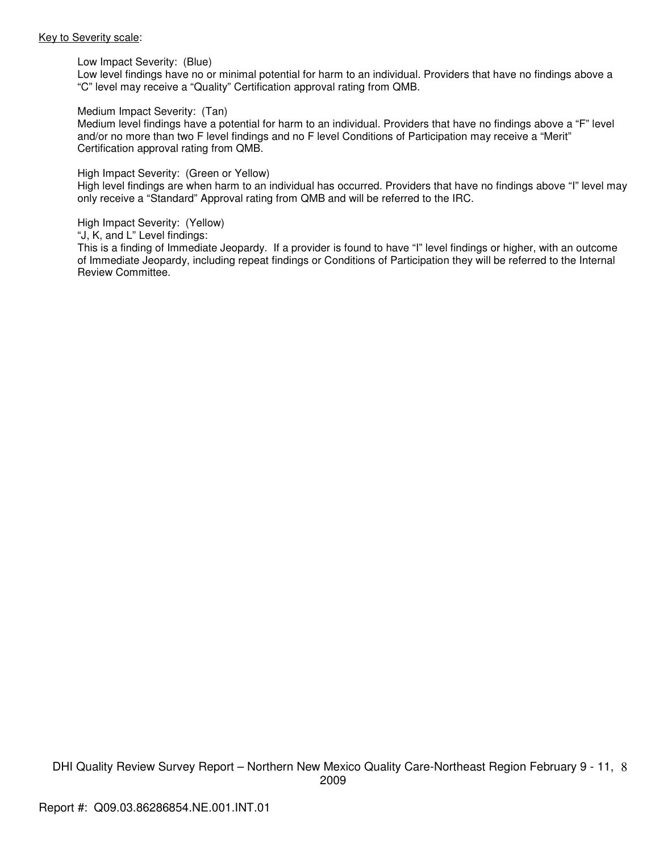#### Key to Severity scale:

Low Impact Severity: (Blue)

Low level findings have no or minimal potential for harm to an individual. Providers that have no findings above a "C" level may receive a "Quality" Certification approval rating from QMB.

#### Medium Impact Severity: (Tan)

Medium level findings have a potential for harm to an individual. Providers that have no findings above a "F" level and/or no more than two F level findings and no F level Conditions of Participation may receive a "Merit" Certification approval rating from QMB.

#### High Impact Severity: (Green or Yellow)

High level findings are when harm to an individual has occurred. Providers that have no findings above "I" level may only receive a "Standard" Approval rating from QMB and will be referred to the IRC.

#### High Impact Severity: (Yellow)

"J, K, and L" Level findings:

This is a finding of Immediate Jeopardy. If a provider is found to have "I" level findings or higher, with an outcome of Immediate Jeopardy, including repeat findings or Conditions of Participation they will be referred to the Internal Review Committee.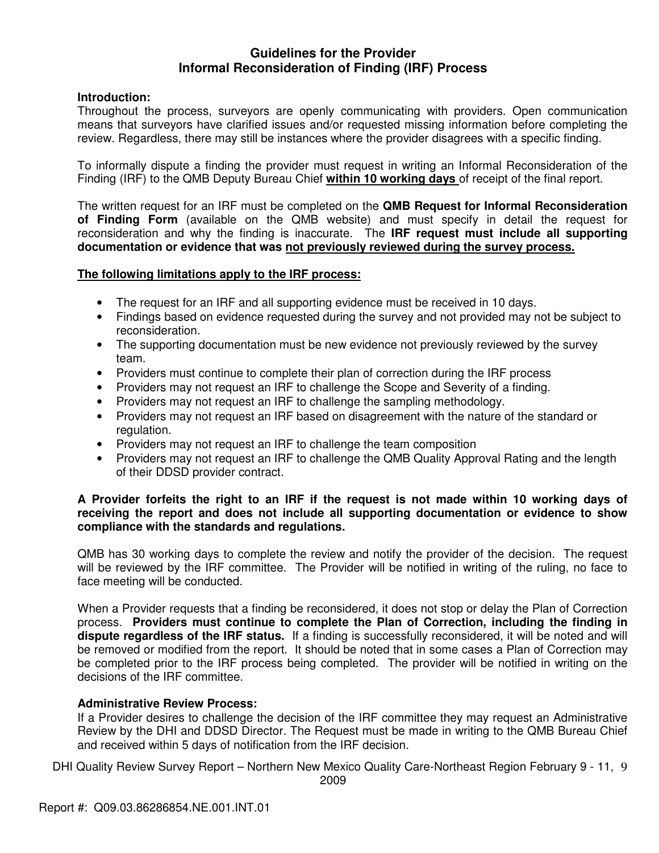## **Guidelines for the Provider Informal Reconsideration of Finding (IRF) Process**

## **Introduction:**

Throughout the process, surveyors are openly communicating with providers. Open communication means that surveyors have clarified issues and/or requested missing information before completing the review. Regardless, there may still be instances where the provider disagrees with a specific finding.

To informally dispute a finding the provider must request in writing an Informal Reconsideration of the Finding (IRF) to the QMB Deputy Bureau Chief **within 10 working days** of receipt of the final report.

The written request for an IRF must be completed on the **QMB Request for Informal Reconsideration of Finding Form** (available on the QMB website) and must specify in detail the request for reconsideration and why the finding is inaccurate. The **IRF request must include all supporting documentation or evidence that was not previously reviewed during the survey process.** 

## **The following limitations apply to the IRF process:**

- The request for an IRF and all supporting evidence must be received in 10 days.
- Findings based on evidence requested during the survey and not provided may not be subject to reconsideration.
- The supporting documentation must be new evidence not previously reviewed by the survey team.
- Providers must continue to complete their plan of correction during the IRF process
- Providers may not request an IRF to challenge the Scope and Severity of a finding.
- Providers may not request an IRF to challenge the sampling methodology.
- Providers may not request an IRF based on disagreement with the nature of the standard or regulation.
- Providers may not request an IRF to challenge the team composition
- Providers may not request an IRF to challenge the QMB Quality Approval Rating and the length of their DDSD provider contract.

## **A Provider forfeits the right to an IRF if the request is not made within 10 working days of receiving the report and does not include all supporting documentation or evidence to show compliance with the standards and regulations.**

QMB has 30 working days to complete the review and notify the provider of the decision. The request will be reviewed by the IRF committee. The Provider will be notified in writing of the ruling, no face to face meeting will be conducted.

When a Provider requests that a finding be reconsidered, it does not stop or delay the Plan of Correction process. **Providers must continue to complete the Plan of Correction, including the finding in dispute regardless of the IRF status.** If a finding is successfully reconsidered, it will be noted and will be removed or modified from the report. It should be noted that in some cases a Plan of Correction may be completed prior to the IRF process being completed. The provider will be notified in writing on the decisions of the IRF committee.

## **Administrative Review Process:**

If a Provider desires to challenge the decision of the IRF committee they may request an Administrative Review by the DHI and DDSD Director. The Request must be made in writing to the QMB Bureau Chief and received within 5 days of notification from the IRF decision.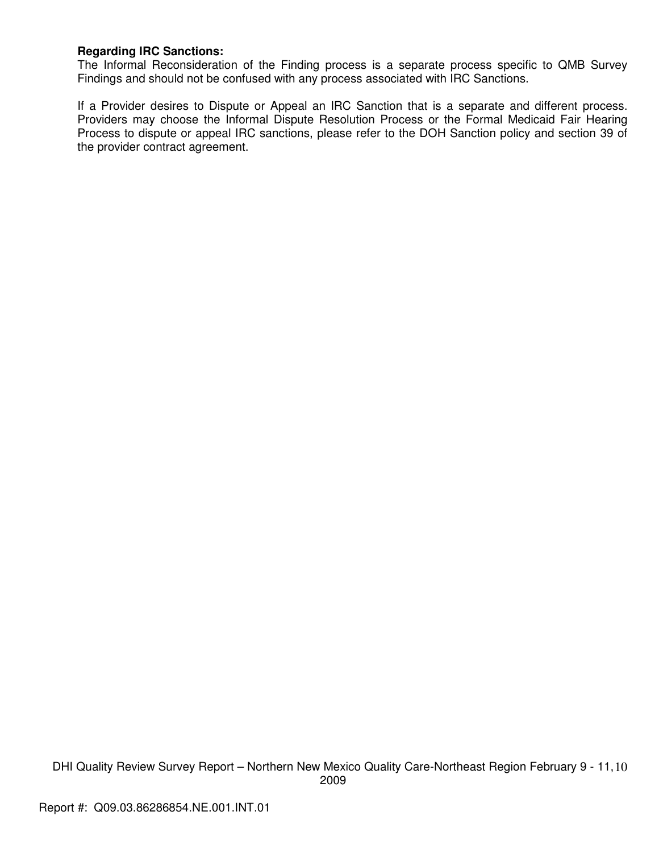## **Regarding IRC Sanctions:**

The Informal Reconsideration of the Finding process is a separate process specific to QMB Survey Findings and should not be confused with any process associated with IRC Sanctions.

If a Provider desires to Dispute or Appeal an IRC Sanction that is a separate and different process. Providers may choose the Informal Dispute Resolution Process or the Formal Medicaid Fair Hearing Process to dispute or appeal IRC sanctions, please refer to the DOH Sanction policy and section 39 of the provider contract agreement.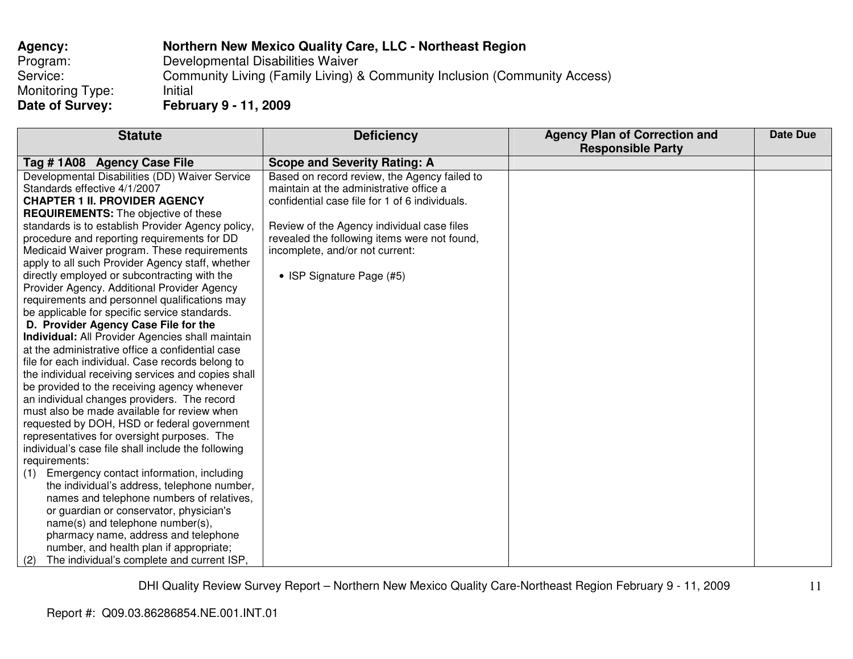| Agency:          | Northern New Mexico Quality Care, LLC - Northeast Region                  |
|------------------|---------------------------------------------------------------------------|
| Program:         | Developmental Disabilities Waiver                                         |
| Service:         | Community Living (Family Living) & Community Inclusion (Community Access) |
| Monitoring Type: | Initial                                                                   |
| Date of Survey:  | February 9 - 11, 2009                                                     |

| <b>Statute</b>                                            | <b>Deficiency</b>                              | <b>Agency Plan of Correction and</b> | Date Due |
|-----------------------------------------------------------|------------------------------------------------|--------------------------------------|----------|
|                                                           |                                                | <b>Responsible Party</b>             |          |
| Tag #1A08 Agency Case File                                | <b>Scope and Severity Rating: A</b>            |                                      |          |
| Developmental Disabilities (DD) Waiver Service            | Based on record review, the Agency failed to   |                                      |          |
| Standards effective 4/1/2007                              | maintain at the administrative office a        |                                      |          |
| <b>CHAPTER 1 II. PROVIDER AGENCY</b>                      | confidential case file for 1 of 6 individuals. |                                      |          |
| <b>REQUIREMENTS:</b> The objective of these               |                                                |                                      |          |
| standards is to establish Provider Agency policy,         | Review of the Agency individual case files     |                                      |          |
| procedure and reporting requirements for DD               | revealed the following items were not found,   |                                      |          |
| Medicaid Waiver program. These requirements               | incomplete, and/or not current:                |                                      |          |
| apply to all such Provider Agency staff, whether          |                                                |                                      |          |
| directly employed or subcontracting with the              | • ISP Signature Page (#5)                      |                                      |          |
| Provider Agency. Additional Provider Agency               |                                                |                                      |          |
| requirements and personnel qualifications may             |                                                |                                      |          |
| be applicable for specific service standards.             |                                                |                                      |          |
| D. Provider Agency Case File for the                      |                                                |                                      |          |
| Individual: All Provider Agencies shall maintain          |                                                |                                      |          |
| at the administrative office a confidential case          |                                                |                                      |          |
| file for each individual. Case records belong to          |                                                |                                      |          |
| the individual receiving services and copies shall        |                                                |                                      |          |
| be provided to the receiving agency whenever              |                                                |                                      |          |
| an individual changes providers. The record               |                                                |                                      |          |
| must also be made available for review when               |                                                |                                      |          |
| requested by DOH, HSD or federal government               |                                                |                                      |          |
| representatives for oversight purposes. The               |                                                |                                      |          |
| individual's case file shall include the following        |                                                |                                      |          |
| requirements:<br>Emergency contact information, including |                                                |                                      |          |
| (1)<br>the individual's address, telephone number,        |                                                |                                      |          |
| names and telephone numbers of relatives,                 |                                                |                                      |          |
| or guardian or conservator, physician's                   |                                                |                                      |          |
| name(s) and telephone number(s),                          |                                                |                                      |          |
| pharmacy name, address and telephone                      |                                                |                                      |          |
| number, and health plan if appropriate;                   |                                                |                                      |          |
|                                                           |                                                |                                      |          |
| The individual's complete and current ISP,<br>(2)         |                                                |                                      |          |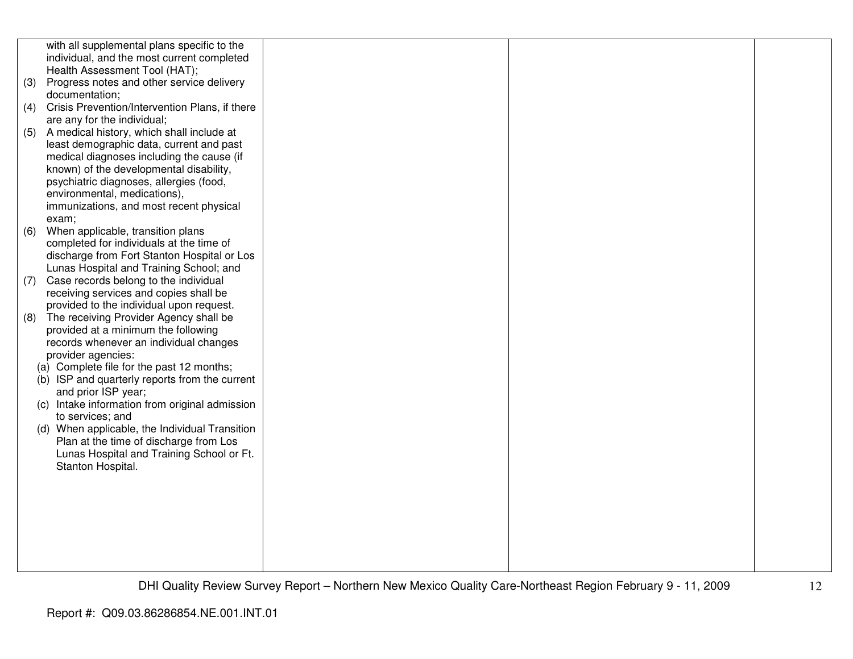|     | with all supplemental plans specific to the       |  |  |
|-----|---------------------------------------------------|--|--|
|     | individual, and the most current completed        |  |  |
|     | Health Assessment Tool (HAT);                     |  |  |
| (3) | Progress notes and other service delivery         |  |  |
|     | documentation;                                    |  |  |
| (4) | Crisis Prevention/Intervention Plans, if there    |  |  |
|     | are any for the individual;                       |  |  |
| (5) | A medical history, which shall include at         |  |  |
|     | least demographic data, current and past          |  |  |
|     | medical diagnoses including the cause (if         |  |  |
|     | known) of the developmental disability,           |  |  |
|     | psychiatric diagnoses, allergies (food,           |  |  |
|     | environmental, medications),                      |  |  |
|     | immunizations, and most recent physical           |  |  |
|     | exam;                                             |  |  |
| (6) | When applicable, transition plans                 |  |  |
|     | completed for individuals at the time of          |  |  |
|     | discharge from Fort Stanton Hospital or Los       |  |  |
|     | Lunas Hospital and Training School; and           |  |  |
| (7) | Case records belong to the individual             |  |  |
|     | receiving services and copies shall be            |  |  |
|     | provided to the individual upon request.          |  |  |
| (8) | The receiving Provider Agency shall be            |  |  |
|     | provided at a minimum the following               |  |  |
|     | records whenever an individual changes            |  |  |
|     | provider agencies:                                |  |  |
|     | (a) Complete file for the past 12 months;         |  |  |
|     | (b) ISP and quarterly reports from the current    |  |  |
|     | and prior ISP year;                               |  |  |
|     | Intake information from original admission<br>(C) |  |  |
|     | to services; and                                  |  |  |
|     | (d) When applicable, the Individual Transition    |  |  |
|     | Plan at the time of discharge from Los            |  |  |
|     | Lunas Hospital and Training School or Ft.         |  |  |
|     | Stanton Hospital.                                 |  |  |
|     |                                                   |  |  |
|     |                                                   |  |  |
|     |                                                   |  |  |
|     |                                                   |  |  |
|     |                                                   |  |  |
|     |                                                   |  |  |
|     |                                                   |  |  |
|     |                                                   |  |  |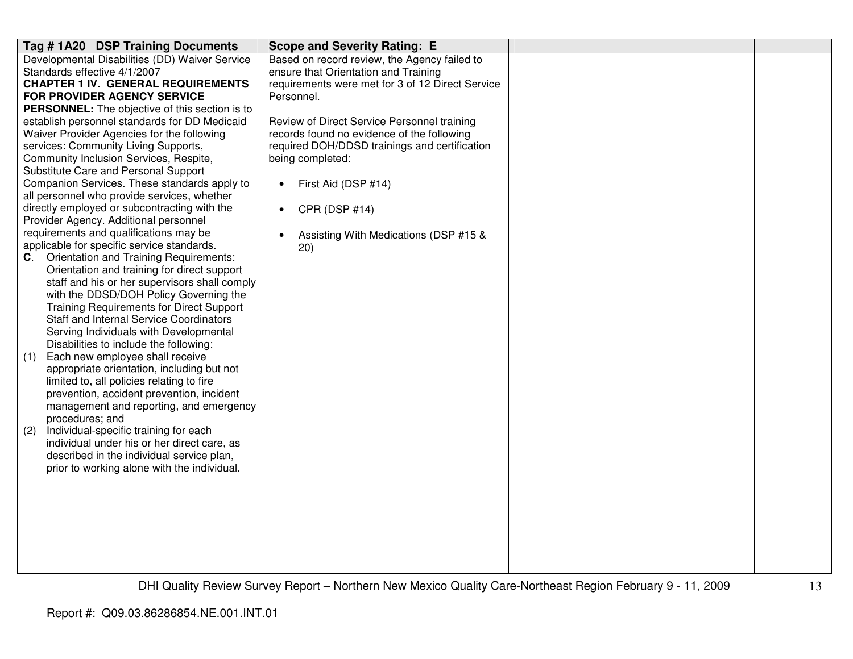| Tag #1A20 DSP Training Documents                                                             | <b>Scope and Severity Rating: E</b>              |  |
|----------------------------------------------------------------------------------------------|--------------------------------------------------|--|
| Developmental Disabilities (DD) Waiver Service                                               | Based on record review, the Agency failed to     |  |
| Standards effective 4/1/2007                                                                 | ensure that Orientation and Training             |  |
| <b>CHAPTER 1 IV. GENERAL REQUIREMENTS</b>                                                    | requirements were met for 3 of 12 Direct Service |  |
| <b>FOR PROVIDER AGENCY SERVICE</b>                                                           | Personnel.                                       |  |
| <b>PERSONNEL:</b> The objective of this section is to                                        |                                                  |  |
| establish personnel standards for DD Medicaid                                                | Review of Direct Service Personnel training      |  |
| Waiver Provider Agencies for the following                                                   | records found no evidence of the following       |  |
| services: Community Living Supports,                                                         | required DOH/DDSD trainings and certification    |  |
| Community Inclusion Services, Respite,                                                       | being completed:                                 |  |
| Substitute Care and Personal Support                                                         |                                                  |  |
| Companion Services. These standards apply to                                                 | First Aid (DSP #14)<br>$\bullet$                 |  |
| all personnel who provide services, whether                                                  |                                                  |  |
| directly employed or subcontracting with the                                                 | CPR (DSP #14)                                    |  |
| Provider Agency. Additional personnel                                                        |                                                  |  |
| requirements and qualifications may be                                                       | Assisting With Medications (DSP #15 &            |  |
| applicable for specific service standards.                                                   | 20)                                              |  |
| Orientation and Training Requirements:<br>C.                                                 |                                                  |  |
| Orientation and training for direct support<br>staff and his or her supervisors shall comply |                                                  |  |
| with the DDSD/DOH Policy Governing the                                                       |                                                  |  |
| <b>Training Requirements for Direct Support</b>                                              |                                                  |  |
| <b>Staff and Internal Service Coordinators</b>                                               |                                                  |  |
| Serving Individuals with Developmental                                                       |                                                  |  |
| Disabilities to include the following:                                                       |                                                  |  |
| Each new employee shall receive<br>(1)                                                       |                                                  |  |
| appropriate orientation, including but not                                                   |                                                  |  |
| limited to, all policies relating to fire                                                    |                                                  |  |
| prevention, accident prevention, incident                                                    |                                                  |  |
| management and reporting, and emergency                                                      |                                                  |  |
| procedures; and                                                                              |                                                  |  |
| Individual-specific training for each<br>(2)                                                 |                                                  |  |
| individual under his or her direct care, as                                                  |                                                  |  |
| described in the individual service plan,                                                    |                                                  |  |
| prior to working alone with the individual.                                                  |                                                  |  |
|                                                                                              |                                                  |  |
|                                                                                              |                                                  |  |
|                                                                                              |                                                  |  |
|                                                                                              |                                                  |  |
|                                                                                              |                                                  |  |
|                                                                                              |                                                  |  |
|                                                                                              |                                                  |  |
|                                                                                              |                                                  |  |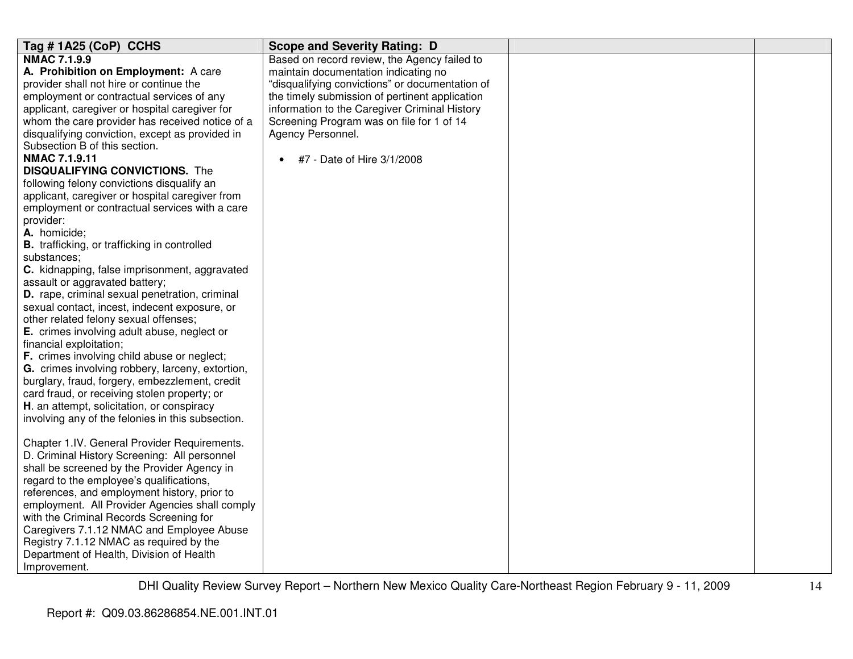| Tag #1A25 (CoP) CCHS                                | <b>Scope and Severity Rating: D</b>             |  |
|-----------------------------------------------------|-------------------------------------------------|--|
| <b>NMAC 7.1.9.9</b>                                 | Based on record review, the Agency failed to    |  |
| A. Prohibition on Employment: A care                | maintain documentation indicating no            |  |
| provider shall not hire or continue the             | "disqualifying convictions" or documentation of |  |
| employment or contractual services of any           | the timely submission of pertinent application  |  |
| applicant, caregiver or hospital caregiver for      | information to the Caregiver Criminal History   |  |
| whom the care provider has received notice of a     | Screening Program was on file for 1 of 14       |  |
| disqualifying conviction, except as provided in     | Agency Personnel.                               |  |
| Subsection B of this section.                       |                                                 |  |
| <b>NMAC 7.1.9.11</b>                                | #7 - Date of Hire 3/1/2008                      |  |
| <b>DISQUALIFYING CONVICTIONS.</b> The               |                                                 |  |
| following felony convictions disqualify an          |                                                 |  |
| applicant, caregiver or hospital caregiver from     |                                                 |  |
| employment or contractual services with a care      |                                                 |  |
| provider:                                           |                                                 |  |
| A. homicide;                                        |                                                 |  |
| <b>B.</b> trafficking, or trafficking in controlled |                                                 |  |
| substances:                                         |                                                 |  |
| C. kidnapping, false imprisonment, aggravated       |                                                 |  |
| assault or aggravated battery;                      |                                                 |  |
| D. rape, criminal sexual penetration, criminal      |                                                 |  |
| sexual contact, incest, indecent exposure, or       |                                                 |  |
| other related felony sexual offenses;               |                                                 |  |
| E. crimes involving adult abuse, neglect or         |                                                 |  |
| financial exploitation;                             |                                                 |  |
| F. crimes involving child abuse or neglect;         |                                                 |  |
| G. crimes involving robbery, larceny, extortion,    |                                                 |  |
| burglary, fraud, forgery, embezzlement, credit      |                                                 |  |
| card fraud, or receiving stolen property; or        |                                                 |  |
| H. an attempt, solicitation, or conspiracy          |                                                 |  |
| involving any of the felonies in this subsection.   |                                                 |  |
|                                                     |                                                 |  |
| Chapter 1.IV. General Provider Requirements.        |                                                 |  |
| D. Criminal History Screening: All personnel        |                                                 |  |
| shall be screened by the Provider Agency in         |                                                 |  |
| regard to the employee's qualifications,            |                                                 |  |
| references, and employment history, prior to        |                                                 |  |
| employment. All Provider Agencies shall comply      |                                                 |  |
| with the Criminal Records Screening for             |                                                 |  |
| Caregivers 7.1.12 NMAC and Employee Abuse           |                                                 |  |
| Registry 7.1.12 NMAC as required by the             |                                                 |  |
| Department of Health, Division of Health            |                                                 |  |
| Improvement.                                        |                                                 |  |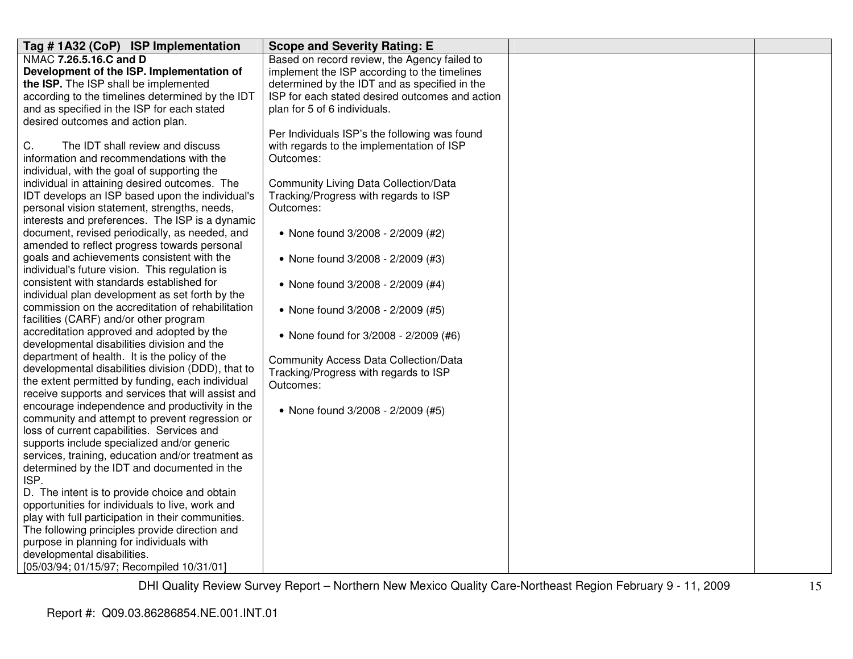| Tag #1A32 (CoP) ISP Implementation                                                       | <b>Scope and Severity Rating: E</b>             |  |
|------------------------------------------------------------------------------------------|-------------------------------------------------|--|
| NMAC 7.26.5.16.C and D                                                                   | Based on record review, the Agency failed to    |  |
| Development of the ISP. Implementation of                                                | implement the ISP according to the timelines    |  |
| the ISP. The ISP shall be implemented                                                    | determined by the IDT and as specified in the   |  |
| according to the timelines determined by the IDT                                         | ISP for each stated desired outcomes and action |  |
| and as specified in the ISP for each stated                                              | plan for 5 of 6 individuals.                    |  |
| desired outcomes and action plan.                                                        |                                                 |  |
|                                                                                          | Per Individuals ISP's the following was found   |  |
| C.<br>The IDT shall review and discuss                                                   | with regards to the implementation of ISP       |  |
| information and recommendations with the                                                 | Outcomes:                                       |  |
| individual, with the goal of supporting the                                              |                                                 |  |
| individual in attaining desired outcomes. The                                            | Community Living Data Collection/Data           |  |
| IDT develops an ISP based upon the individual's                                          | Tracking/Progress with regards to ISP           |  |
| personal vision statement, strengths, needs,                                             | Outcomes:                                       |  |
| interests and preferences. The ISP is a dynamic                                          |                                                 |  |
| document, revised periodically, as needed, and                                           | • None found 3/2008 - 2/2009 (#2)               |  |
| amended to reflect progress towards personal                                             |                                                 |  |
| goals and achievements consistent with the                                               | • None found 3/2008 - 2/2009 (#3)               |  |
| individual's future vision. This regulation is                                           |                                                 |  |
| consistent with standards established for                                                | • None found 3/2008 - 2/2009 (#4)               |  |
| individual plan development as set forth by the                                          |                                                 |  |
| commission on the accreditation of rehabilitation                                        | • None found 3/2008 - 2/2009 (#5)               |  |
| facilities (CARF) and/or other program                                                   |                                                 |  |
| accreditation approved and adopted by the<br>developmental disabilities division and the | • None found for 3/2008 - 2/2009 (#6)           |  |
| department of health. It is the policy of the                                            |                                                 |  |
| developmental disabilities division (DDD), that to                                       | <b>Community Access Data Collection/Data</b>    |  |
| the extent permitted by funding, each individual                                         | Tracking/Progress with regards to ISP           |  |
| receive supports and services that will assist and                                       | Outcomes:                                       |  |
| encourage independence and productivity in the                                           |                                                 |  |
| community and attempt to prevent regression or                                           | • None found 3/2008 - 2/2009 (#5)               |  |
| loss of current capabilities. Services and                                               |                                                 |  |
| supports include specialized and/or generic                                              |                                                 |  |
| services, training, education and/or treatment as                                        |                                                 |  |
| determined by the IDT and documented in the                                              |                                                 |  |
| ISP.                                                                                     |                                                 |  |
| D. The intent is to provide choice and obtain                                            |                                                 |  |
| opportunities for individuals to live, work and                                          |                                                 |  |
| play with full participation in their communities.                                       |                                                 |  |
| The following principles provide direction and                                           |                                                 |  |
| purpose in planning for individuals with                                                 |                                                 |  |
| developmental disabilities.                                                              |                                                 |  |
| [05/03/94; 01/15/97; Recompiled 10/31/01]                                                |                                                 |  |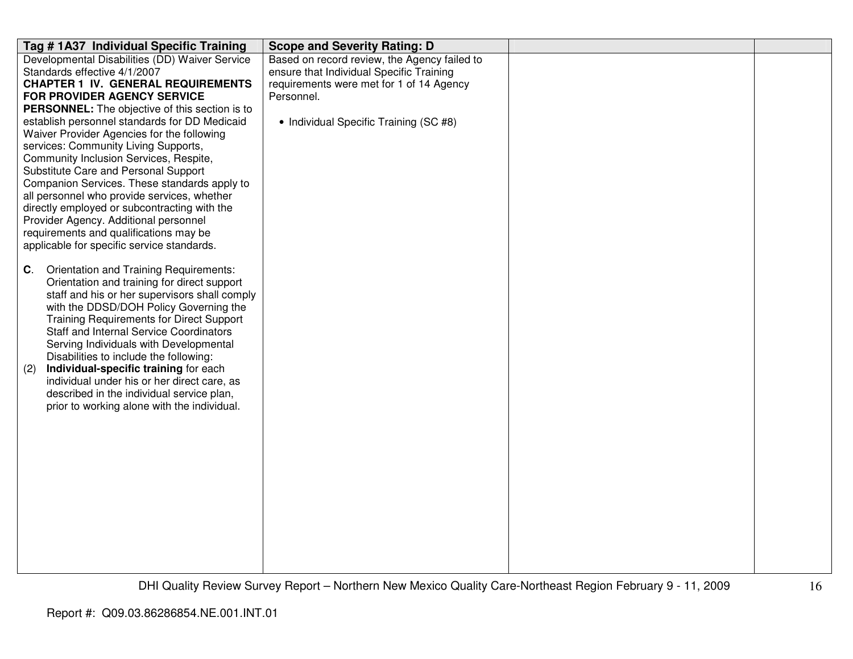| Tag # 1A37 Individual Specific Training                                                     | <b>Scope and Severity Rating: D</b>          |  |
|---------------------------------------------------------------------------------------------|----------------------------------------------|--|
| Developmental Disabilities (DD) Waiver Service                                              | Based on record review, the Agency failed to |  |
| Standards effective 4/1/2007                                                                | ensure that Individual Specific Training     |  |
| <b>CHAPTER 1 IV. GENERAL REQUIREMENTS</b>                                                   | requirements were met for 1 of 14 Agency     |  |
| FOR PROVIDER AGENCY SERVICE                                                                 | Personnel.                                   |  |
| <b>PERSONNEL:</b> The objective of this section is to                                       |                                              |  |
| establish personnel standards for DD Medicaid                                               | • Individual Specific Training (SC #8)       |  |
| Waiver Provider Agencies for the following                                                  |                                              |  |
| services: Community Living Supports,                                                        |                                              |  |
| Community Inclusion Services, Respite,                                                      |                                              |  |
| Substitute Care and Personal Support                                                        |                                              |  |
| Companion Services. These standards apply to<br>all personnel who provide services, whether |                                              |  |
| directly employed or subcontracting with the                                                |                                              |  |
| Provider Agency. Additional personnel                                                       |                                              |  |
| requirements and qualifications may be                                                      |                                              |  |
| applicable for specific service standards.                                                  |                                              |  |
|                                                                                             |                                              |  |
| Orientation and Training Requirements:<br>C.                                                |                                              |  |
| Orientation and training for direct support                                                 |                                              |  |
| staff and his or her supervisors shall comply                                               |                                              |  |
| with the DDSD/DOH Policy Governing the                                                      |                                              |  |
| <b>Training Requirements for Direct Support</b>                                             |                                              |  |
| <b>Staff and Internal Service Coordinators</b>                                              |                                              |  |
| Serving Individuals with Developmental                                                      |                                              |  |
| Disabilities to include the following:                                                      |                                              |  |
| Individual-specific training for each<br>(2)                                                |                                              |  |
| individual under his or her direct care, as                                                 |                                              |  |
| described in the individual service plan,                                                   |                                              |  |
| prior to working alone with the individual.                                                 |                                              |  |
|                                                                                             |                                              |  |
|                                                                                             |                                              |  |
|                                                                                             |                                              |  |
|                                                                                             |                                              |  |
|                                                                                             |                                              |  |
|                                                                                             |                                              |  |
|                                                                                             |                                              |  |
|                                                                                             |                                              |  |
|                                                                                             |                                              |  |
|                                                                                             |                                              |  |
|                                                                                             |                                              |  |
|                                                                                             |                                              |  |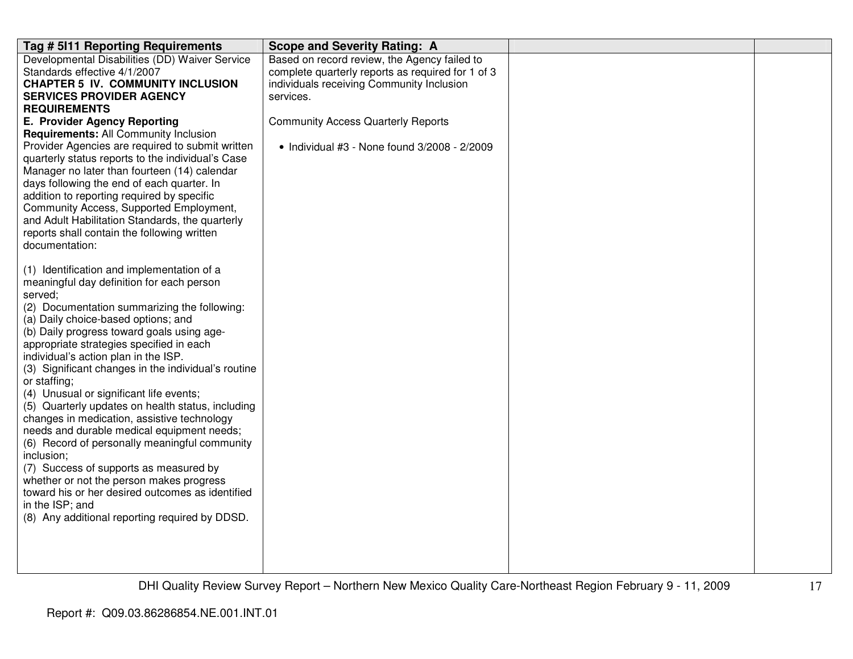| Tag # 5111 Reporting Requirements                                                              | <b>Scope and Severity Rating: A</b>               |  |
|------------------------------------------------------------------------------------------------|---------------------------------------------------|--|
| Developmental Disabilities (DD) Waiver Service                                                 | Based on record review, the Agency failed to      |  |
| Standards effective 4/1/2007                                                                   | complete quarterly reports as required for 1 of 3 |  |
| <b>CHAPTER 5 IV. COMMUNITY INCLUSION</b>                                                       | individuals receiving Community Inclusion         |  |
| <b>SERVICES PROVIDER AGENCY</b>                                                                | services.                                         |  |
| <b>REQUIREMENTS</b>                                                                            |                                                   |  |
| E. Provider Agency Reporting                                                                   | <b>Community Access Quarterly Reports</b>         |  |
| Requirements: All Community Inclusion                                                          |                                                   |  |
| Provider Agencies are required to submit written                                               | • Individual #3 - None found 3/2008 - 2/2009      |  |
| quarterly status reports to the individual's Case                                              |                                                   |  |
| Manager no later than fourteen (14) calendar                                                   |                                                   |  |
| days following the end of each quarter. In                                                     |                                                   |  |
| addition to reporting required by specific                                                     |                                                   |  |
| Community Access, Supported Employment,                                                        |                                                   |  |
| and Adult Habilitation Standards, the quarterly<br>reports shall contain the following written |                                                   |  |
| documentation:                                                                                 |                                                   |  |
|                                                                                                |                                                   |  |
| (1) Identification and implementation of a                                                     |                                                   |  |
| meaningful day definition for each person                                                      |                                                   |  |
| served;                                                                                        |                                                   |  |
| (2) Documentation summarizing the following:                                                   |                                                   |  |
| (a) Daily choice-based options; and                                                            |                                                   |  |
| (b) Daily progress toward goals using age-                                                     |                                                   |  |
| appropriate strategies specified in each                                                       |                                                   |  |
| individual's action plan in the ISP.                                                           |                                                   |  |
| (3) Significant changes in the individual's routine                                            |                                                   |  |
| or staffing;                                                                                   |                                                   |  |
| (4) Unusual or significant life events;                                                        |                                                   |  |
| (5) Quarterly updates on health status, including                                              |                                                   |  |
| changes in medication, assistive technology                                                    |                                                   |  |
| needs and durable medical equipment needs;                                                     |                                                   |  |
| (6) Record of personally meaningful community<br>inclusion;                                    |                                                   |  |
| (7) Success of supports as measured by                                                         |                                                   |  |
| whether or not the person makes progress                                                       |                                                   |  |
| toward his or her desired outcomes as identified                                               |                                                   |  |
| in the ISP; and                                                                                |                                                   |  |
| (8) Any additional reporting required by DDSD.                                                 |                                                   |  |
|                                                                                                |                                                   |  |
|                                                                                                |                                                   |  |
|                                                                                                |                                                   |  |
|                                                                                                |                                                   |  |